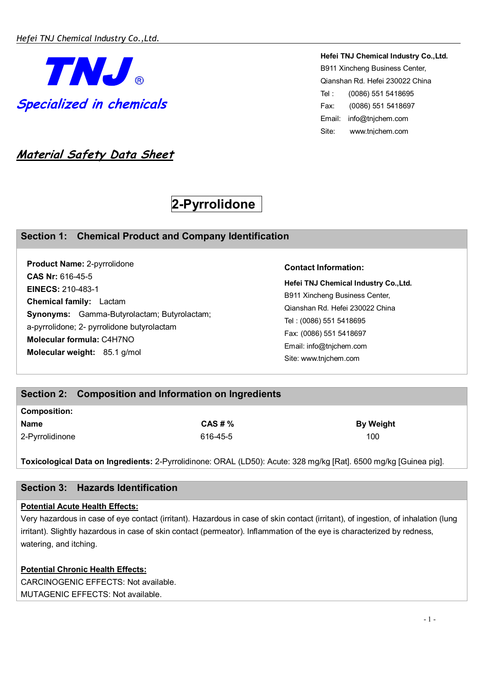

**Hefei TNJ Chemical Industry Co.,Ltd.**  B911 Xincheng Business Center, Qianshan Rd. Hefei 230022 China Tel : (0086) 551 5418695 Fax: (0086) 551 5418697 Email: info@tnjchem.com Site: www.tnjchem.com

# **Material Safety Data Sheet**

# **2-Pyrrolidone**

# **Section 1: Chemical Product and Company Identification**

**Product Name:** 2-pyrrolidone **CAS Nr:** 616-45-5 **EINECS:** 210-483-1 **Chemical family:** Lactam **Synonyms:** Gamma-Butyrolactam; Butyrolactam; a-pyrrolidone; 2- pyrrolidone butyrolactam **Molecular formula:** C4H7NO **Molecular weight:** 85.1 g/mol

#### **Contact Information:**

**Hefei TNJ Chemical Industry Co.,Ltd.**  B911 Xincheng Business Center, Qianshan Rd. Hefei 230022 China Tel : (0086) 551 5418695 Fax: (0086) 551 5418697 Email: info@tnjchem.com Site: www.tnjchem.com

# **Section 2: Composition and Information on Ingredients**

# **Composition: Name By Weight**  By Weight **CAS # % CAS # %** By Weight

2-Pyrrolidinone 616-45-5 100

**Toxicological Data on Ingredients:** 2-Pyrrolidinone: ORAL (LD50): Acute: 328 mg/kg [Rat]. 6500 mg/kg [Guinea pig].

# **Section 3: Hazards Identification**

#### **Potential Acute Health Effects:**

Very hazardous in case of eye contact (irritant). Hazardous in case of skin contact (irritant), of ingestion, of inhalation (lung irritant). Slightly hazardous in case of skin contact (permeator). Inflammation of the eye is characterized by redness, watering, and itching.

# **Potential Chronic Health Effects:** CARCINOGENIC EFFECTS: Not available.

MUTAGENIC EFFECTS: Not available.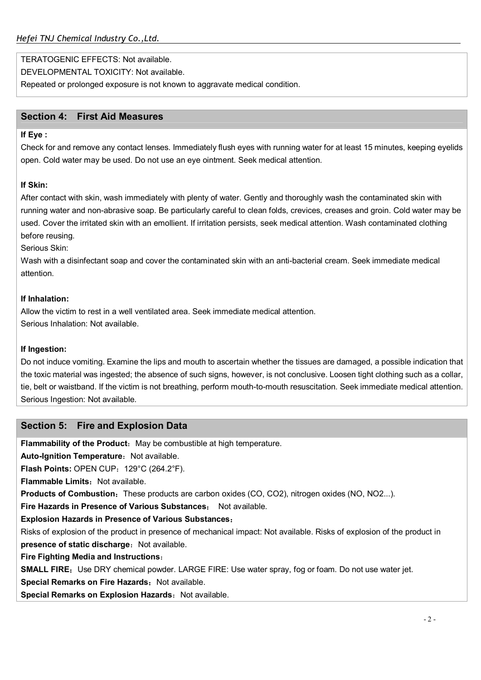TERATOGENIC EFFECTS: Not available.

DEVELOPMENTAL TOXICITY: Not available.

Repeated or prolonged exposure is not known to aggravate medical condition.

## **Section 4: First Aid Measures**

#### **If Eye :**

Check for and remove any contact lenses. Immediately flush eyes with running water for at least 15 minutes, keeping eyelids open. Cold water may be used. Do not use an eye ointment. Seek medical attention.

#### **If Skin:**

After contact with skin, wash immediately with plenty of water. Gently and thoroughly wash the contaminated skin with running water and non-abrasive soap. Be particularly careful to clean folds, crevices, creases and groin. Cold water may be used. Cover the irritated skin with an emollient. If irritation persists, seek medical attention. Wash contaminated clothing before reusing.

Serious Skin:

Wash with a disinfectant soap and cover the contaminated skin with an anti-bacterial cream. Seek immediate medical attention.

#### **If Inhalation:**

Allow the victim to rest in a well ventilated area. Seek immediate medical attention. Serious Inhalation: Not available.

#### **If Ingestion:**

Do not induce vomiting. Examine the lips and mouth to ascertain whether the tissues are damaged, a possible indication that the toxic material was ingested; the absence of such signs, however, is not conclusive. Loosen tight clothing such as a collar, tie, belt or waistband. If the victim is not breathing, perform mouth-to-mouth resuscitation. Seek immediate medical attention. Serious Ingestion: Not available.

# **Section 5: Fire and Explosion Data**

**Flammability of the Product:** May be combustible at high temperature.

**Auto-Ignition Temperature: Not available.** 

**Flash Points: OPEN CUP: 129°C (264.2°F).** 

**Flammable Limits: Not available.** 

**Products of Combustion:** These products are carbon oxides (CO, CO2), nitrogen oxides (NO, NO2...).

**Fire Hazards in Presence of Various Substances**: Not available.

**Explosion Hazards in Presence of Various Substances**:

Risks of explosion of the product in presence of mechanical impact: Not available. Risks of explosion of the product in **presence of static discharge: Not available.** 

**Fire Fighting Media and Instructions**:

**SMALL FIRE:** Use DRY chemical powder. LARGE FIRE: Use water spray, fog or foam. Do not use water jet.

**Special Remarks on Fire Hazards: Not available.** 

**Special Remarks on Explosion Hazards: Not available.**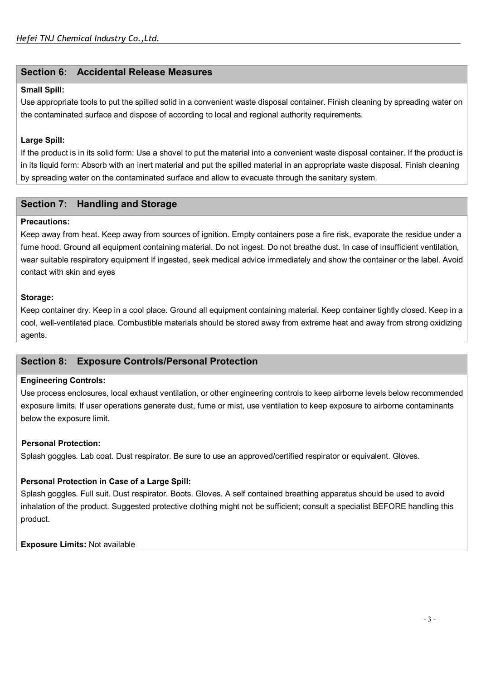# **Section 6: Accidental Release Measures**

#### **Small Spill:**

Use appropriate tools to put the spilled solid in a convenient waste disposal container. Finish cleaning by spreading water on the contaminated surface and dispose of according to local and regional authority requirements.

#### **Large Spill:**

If the product is in its solid form: Use a shovel to put the material into a convenient waste disposal container. If the product is in its liquid form: Absorb with an inert material and put the spilled material in an appropriate waste disposal. Finish cleaning by spreading water on the contaminated surface and allow to evacuate through the sanitary system.

# **Section 7: Handling and Storage**

#### **Precautions:**

Keep away from heat. Keep away from sources of ignition. Empty containers pose a fire risk, evaporate the residue under a fume hood. Ground all equipment containing material. Do not ingest. Do not breathe dust. In case of insufficient ventilation, wear suitable respiratory equipment If ingested, seek medical advice immediately and show the container or the label. Avoid contact with skin and eyes

#### **Storage:**

Keep container dry. Keep in a cool place. Ground all equipment containing material. Keep container tightly closed. Keep in a cool, well-ventilated place. Combustible materials should be stored away from extreme heat and away from strong oxidizing agents.

# **Section 8: Exposure Controls/Personal Protection**

#### **Engineering Controls:**

Use process enclosures, local exhaust ventilation, or other engineering controls to keep airborne levels below recommended exposure limits. If user operations generate dust, fume or mist, use ventilation to keep exposure to airborne contaminants below the exposure limit.

#### **Personal Protection:**

Splash goggles. Lab coat. Dust respirator. Be sure to use an approved/certified respirator or equivalent. Gloves.

#### **Personal Protection in Case of a Large Spill:**

Splash goggles. Full suit. Dust respirator. Boots. Gloves. A self contained breathing apparatus should be used to avoid inhalation of the product. Suggested protective clothing might not be sufficient; consult a specialist BEFORE handling this product.

#### **Exposure Limits:** Not available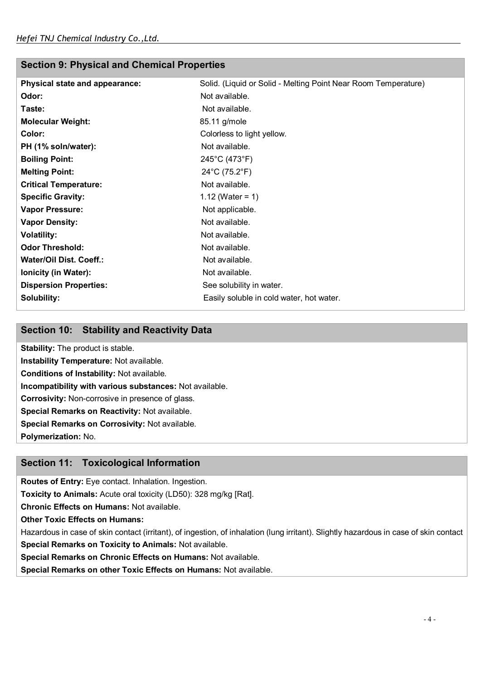# **Section 9: Physical and Chemical Properties**

| Physical state and appearance: | Solid. (Liquid or Solid - Melting Point Near Room Temperature) |
|--------------------------------|----------------------------------------------------------------|
| Odor:                          | Not available.                                                 |
| Taste:                         | Not available.                                                 |
| <b>Molecular Weight:</b>       | 85.11 g/mole                                                   |
| Color:                         | Colorless to light yellow.                                     |
| PH (1% soln/water):            | Not available.                                                 |
| <b>Boiling Point:</b>          | 245°C (473°F)                                                  |
| <b>Melting Point:</b>          | 24°C (75.2°F)                                                  |
| <b>Critical Temperature:</b>   | Not available.                                                 |
| <b>Specific Gravity:</b>       | 1.12 (Water = 1)                                               |
| <b>Vapor Pressure:</b>         | Not applicable.                                                |
| <b>Vapor Density:</b>          | Not available.                                                 |
| <b>Volatility:</b>             | Not available.                                                 |
| <b>Odor Threshold:</b>         | Not available.                                                 |
| Water/Oil Dist. Coeff.:        | Not available.                                                 |
| <b>Ionicity (in Water):</b>    | Not available.                                                 |
| <b>Dispersion Properties:</b>  | See solubility in water.                                       |
| Solubility:                    | Easily soluble in cold water, hot water.                       |
|                                |                                                                |

# **Section 10: Stability and Reactivity Data**

**Stability:** The product is stable. **Instability Temperature:** Not available. **Conditions of Instability:** Not available. **Incompatibility with various substances:** Not available. **Corrosivity:** Non-corrosive in presence of glass. **Special Remarks on Reactivity:** Not available. **Special Remarks on Corrosivity:** Not available. **Polymerization:** No.

# **Section 11: Toxicological Information**

**Routes of Entry:** Eye contact. Inhalation. Ingestion.

**Toxicity to Animals:** Acute oral toxicity (LD50): 328 mg/kg [Rat].

**Chronic Effects on Humans:** Not available.

**Other Toxic Effects on Humans:** 

Hazardous in case of skin contact (irritant), of ingestion, of inhalation (lung irritant). Slightly hazardous in case of skin contact **Special Remarks on Toxicity to Animals:** Not available.

**Special Remarks on Chronic Effects on Humans:** Not available.

**Special Remarks on other Toxic Effects on Humans:** Not available.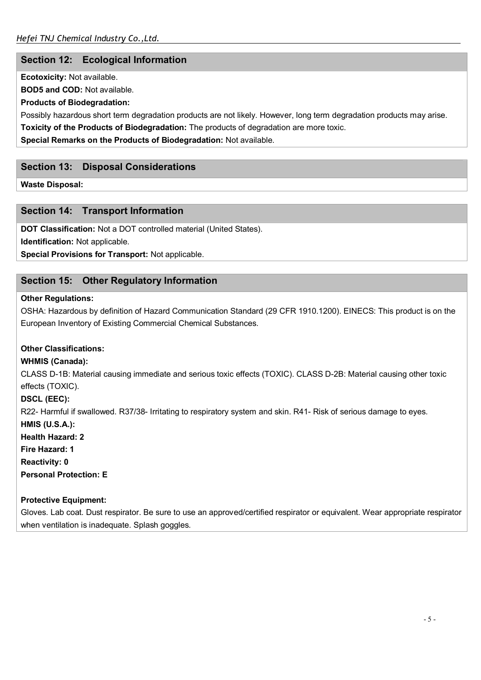# **Section 12: Ecological Information**

**Ecotoxicity:** Not available.

**BOD5 and COD:** Not available.

## **Products of Biodegradation:**

Possibly hazardous short term degradation products are not likely. However, long term degradation products may arise.

**Toxicity of the Products of Biodegradation:** The products of degradation are more toxic.

**Special Remarks on the Products of Biodegradation:** Not available.

# **Section 13: Disposal Considerations**

**Waste Disposal:** 

# **Section 14: Transport Information**

**DOT Classification:** Not a DOT controlled material (United States).

**Identification:** Not applicable.

**Special Provisions for Transport:** Not applicable.

# **Section 15: Other Regulatory Information**

#### **Other Regulations:**

OSHA: Hazardous by definition of Hazard Communication Standard (29 CFR 1910.1200). EINECS: This product is on the European Inventory of Existing Commercial Chemical Substances.

# **Other Classifications:**

# **WHMIS (Canada):**

CLASS D-1B: Material causing immediate and serious toxic effects (TOXIC). CLASS D-2B: Material causing other toxic effects (TOXIC).

**DSCL (EEC):** 

R22- Harmful if swallowed. R37/38- Irritating to respiratory system and skin. R41- Risk of serious damage to eyes.

**HMIS (U.S.A.):** 

**Health Hazard: 2** 

**Fire Hazard: 1** 

**Reactivity: 0** 

**Personal Protection: E** 

# **Protective Equipment:**

Gloves. Lab coat. Dust respirator. Be sure to use an approved/certified respirator or equivalent. Wear appropriate respirator when ventilation is inadequate. Splash goggles.